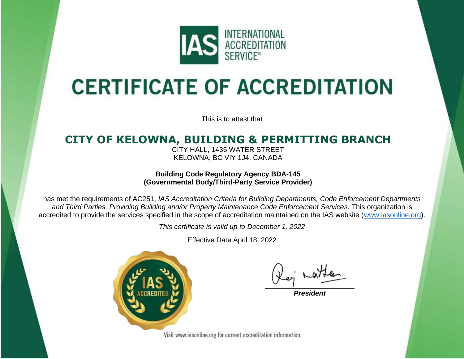

## **CERTIFICATE OF ACCREDITATION**

This is to attest that

## **CITY OF KELOWNA, BUILDING & PERMITTING BRANCH**

CITY HALL, 1435 WATER STREET KELOWNA, BC VIY 1J4, CANADA

**Building Code Regulatory Agency BDA-145 (Governmental Body/Third-Party Service Provider)**

has met the requirements of AC251, *IAS Accreditation Criteria for Building Departments, Code Enforcement Departments and Third Parties, Providing Building and/or Property Maintenance Code Enforcement Services.* This organization is accredited to provide the services specified in the scope of accreditation maintained on the IAS website [\(www.iasonline.org\)](http://www.iasonline.org/).

*This certificate is valid up to December 1, 2022*

Effective Date April 18, 2022



*President*

Visit www.iasonline.org for current accreditation information.